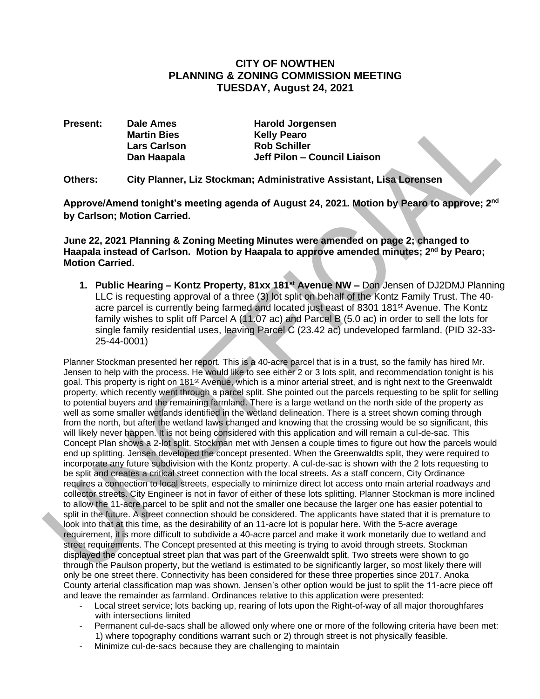# **CITY OF NOWTHEN PLANNING & ZONING COMMISSION MEETING TUESDAY, August 24, 2021**

**Present:** Dale Ames **Harold Jorgensen** 

**Martin Bies Kelly Pearo Lars Carlson Rob Schiller Dan Haapala Jeff Pilon – Council Liaison**

**Others: City Planner, Liz Stockman; Administrative Assistant, Lisa Lorensen**

**Approve/Amend tonight's meeting agenda of August 24, 2021. Motion by Pearo to approve; 2nd by Carlson; Motion Carried.**

**June 22, 2021 Planning & Zoning Meeting Minutes were amended on page 2; changed to Haapala instead of Carlson. Motion by Haapala to approve amended minutes; 2nd by Pearo; Motion Carried.**

**1. Public Hearing – Kontz Property, 81xx 181st Avenue NW –** Don Jensen of DJ2DMJ Planning LLC is requesting approval of a three (3) lot split on behalf of the Kontz Family Trust. The 40 acre parcel is currently being farmed and located just east of 8301 181<sup>st</sup> Avenue. The Kontz family wishes to split off Parcel A (11.07 ac) and Parcel B (5.0 ac) in order to sell the lots for single family residential uses, leaving Parcel C (23.42 ac) undeveloped farmland. (PID 32-33- 25-44-0001)

Planner Stockman presented her report. This is a 40-acre parcel that is in a trust, so the family has hired Mr. Jensen to help with the process. He would like to see either 2 or 3 lots split, and recommendation tonight is his goal. This property is right on 181<sup>st</sup> Avenue, which is a minor arterial street, and is right next to the Greenwaldt property, which recently went through a parcel split. She pointed out the parcels requesting to be split for selling to potential buyers and the remaining farmland. There is a large wetland on the north side of the property as well as some smaller wetlands identified in the wetland delineation. There is a street shown coming through from the north, but after the wetland laws changed and knowing that the crossing would be so significant, this will likely never happen. It is not being considered with this application and will remain a cul-de-sac. This Concept Plan shows a 2-lot split. Stockman met with Jensen a couple times to figure out how the parcels would end up splitting. Jensen developed the concept presented. When the Greenwaldts split, they were required to incorporate any future subdivision with the Kontz property. A cul-de-sac is shown with the 2 lots requesting to be split and creates a critical street connection with the local streets. As a staff concern, City Ordinance requires a connection to local streets, especially to minimize direct lot access onto main arterial roadways and collector streets. City Engineer is not in favor of either of these lots splitting. Planner Stockman is more inclined to allow the 11-acre parcel to be split and not the smaller one because the larger one has easier potential to split in the future. A street connection should be considered. The applicants have stated that it is premature to look into that at this time, as the desirability of an 11-acre lot is popular here. With the 5-acre average requirement, it is more difficult to subdivide a 40-acre parcel and make it work monetarily due to wetland and street requirements. The Concept presented at this meeting is trying to avoid through streets. Stockman displayed the conceptual street plan that was part of the Greenwaldt split. Two streets were shown to go through the Paulson property, but the wetland is estimated to be significantly larger, so most likely there will only be one street there. Connectivity has been considered for these three properties since 2017. Anoka County arterial classification map was shown. Jensen's other option would be just to split the 11-acre piece off and leave the remainder as farmland. Ordinances relative to this application were presented:

- Local street service; lots backing up, rearing of lots upon the Right-of-way of all major thoroughfares with intersections limited
- Permanent cul-de-sacs shall be allowed only where one or more of the following criteria have been met: 1) where topography conditions warrant such or 2) through street is not physically feasible.
- Minimize cul-de-sacs because they are challenging to maintain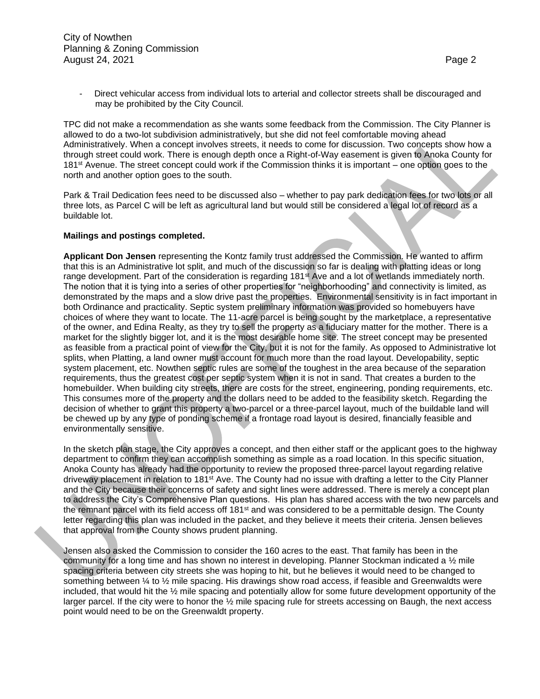Direct vehicular access from individual lots to arterial and collector streets shall be discouraged and may be prohibited by the City Council.

TPC did not make a recommendation as she wants some feedback from the Commission. The City Planner is allowed to do a two-lot subdivision administratively, but she did not feel comfortable moving ahead Administratively. When a concept involves streets, it needs to come for discussion. Two concepts show how a through street could work. There is enough depth once a Right-of-Way easement is given to Anoka County for 181st Avenue. The street concept could work if the Commission thinks it is important – one option goes to the north and another option goes to the south.

Park & Trail Dedication fees need to be discussed also – whether to pay park dedication fees for two lots or all three lots, as Parcel C will be left as agricultural land but would still be considered a legal lot of record as a buildable lot.

#### **Mailings and postings completed.**

**Applicant Don Jensen** representing the Kontz family trust addressed the Commission. He wanted to affirm that this is an Administrative lot split, and much of the discussion so far is dealing with platting ideas or long range development. Part of the consideration is regarding 181<sup>st</sup> Ave and a lot of wetlands immediately north. The notion that it is tying into a series of other properties for "neighborhooding" and connectivity is limited, as demonstrated by the maps and a slow drive past the properties. Environmental sensitivity is in fact important in both Ordinance and practicality. Septic system preliminary information was provided so homebuyers have choices of where they want to locate. The 11-acre parcel is being sought by the marketplace, a representative of the owner, and Edina Realty, as they try to sell the property as a fiduciary matter for the mother. There is a market for the slightly bigger lot, and it is the most desirable home site. The street concept may be presented as feasible from a practical point of view for the City, but it is not for the family. As opposed to Administrative lot splits, when Platting, a land owner must account for much more than the road layout. Developability, septic system placement, etc. Nowthen septic rules are some of the toughest in the area because of the separation requirements, thus the greatest cost per septic system when it is not in sand. That creates a burden to the homebuilder. When building city streets, there are costs for the street, engineering, ponding requirements, etc. This consumes more of the property and the dollars need to be added to the feasibility sketch. Regarding the decision of whether to grant this property a two-parcel or a three-parcel layout, much of the buildable land will be chewed up by any type of ponding scheme if a frontage road layout is desired, financially feasible and environmentally sensitive.

In the sketch plan stage, the City approves a concept, and then either staff or the applicant goes to the highway department to confirm they can accomplish something as simple as a road location. In this specific situation, Anoka County has already had the opportunity to review the proposed three-parcel layout regarding relative driveway placement in relation to 181st Ave. The County had no issue with drafting a letter to the City Planner and the City because their concerns of safety and sight lines were addressed. There is merely a concept plan to address the City's Comprehensive Plan questions. His plan has shared access with the two new parcels and the remnant parcel with its field access off 181<sup>st</sup> and was considered to be a permittable design. The County letter regarding this plan was included in the packet, and they believe it meets their criteria. Jensen believes that approval from the County shows prudent planning.

Jensen also asked the Commission to consider the 160 acres to the east. That family has been in the community for a long time and has shown no interest in developing. Planner Stockman indicated a ½ mile spacing criteria between city streets she was hoping to hit, but he believes it would need to be changed to something between  $\frac{1}{4}$  to  $\frac{1}{2}$  mile spacing. His drawings show road access, if feasible and Greenwaldts were included, that would hit the ½ mile spacing and potentially allow for some future development opportunity of the larger parcel. If the city were to honor the ½ mile spacing rule for streets accessing on Baugh, the next access point would need to be on the Greenwaldt property.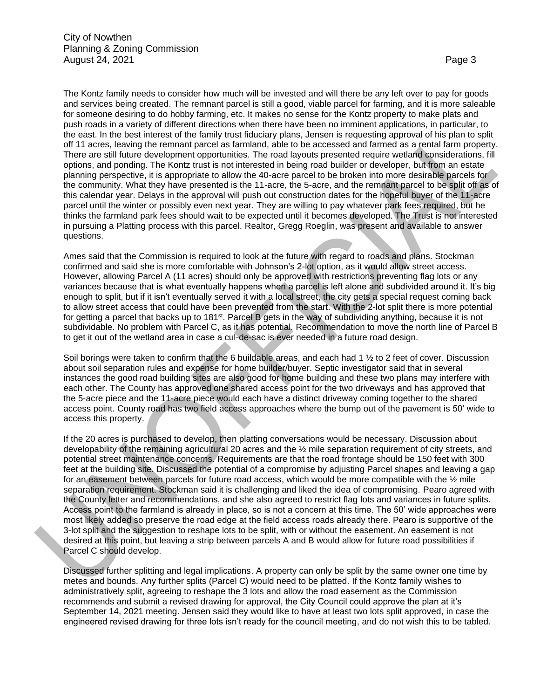The Kontz family needs to consider how much will be invested and will there be any left over to pay for goods and services being created. The remnant parcel is still a good, viable parcel for farming, and it is more saleable for someone desiring to do hobby farming, etc. It makes no sense for the Kontz property to make plats and push roads in a variety of different directions when there have been no imminent applications, in particular, to the east. In the best interest of the family trust fiduciary plans, Jensen is requesting approval of his plan to split off 11 acres, leaving the remnant parcel as farmland, able to be accessed and farmed as a rental farm property. There are still future development opportunities. The road layouts presented require wetland considerations, fill options, and ponding. The Kontz trust is not interested in being road builder or developer, but from an estate planning perspective, it is appropriate to allow the 40-acre parcel to be broken into more desirable parcels for the community. What they have presented is the 11-acre, the 5-acre, and the remnant parcel to be split off as of this calendar year. Delays in the approval will push out construction dates for the hopeful buyer of the 11-acre parcel until the winter or possibly even next year. They are willing to pay whatever park fees required, but he thinks the farmland park fees should wait to be expected until it becomes developed. The Trust is not interested in pursuing a Platting process with this parcel. Realtor, Gregg Roeglin, was present and available to answer questions.

Ames said that the Commission is required to look at the future with regard to roads and plans. Stockman confirmed and said she is more comfortable with Johnson's 2-lot option, as it would allow street access. However, allowing Parcel A (11 acres) should only be approved with restrictions preventing flag lots or any variances because that is what eventually happens when a parcel is left alone and subdivided around it. It's big enough to split, but if it isn't eventually served it with a local street, the city gets a special request coming back to allow street access that could have been prevented from the start. With the 2-lot split there is more potential for getting a parcel that backs up to 181<sup>st</sup>. Parcel B gets in the way of subdividing anything, because it is not subdividable. No problem with Parcel C, as it has potential. Recommendation to move the north line of Parcel B to get it out of the wetland area in case a cul-de-sac is ever needed in a future road design.

Soil borings were taken to confirm that the 6 buildable areas, and each had 1 ½ to 2 feet of cover. Discussion about soil separation rules and expense for home builder/buyer. Septic investigator said that in several instances the good road building sites are also good for home building and these two plans may interfere with each other. The County has approved one shared access point for the two driveways and has approved that the 5-acre piece and the 11-acre piece would each have a distinct driveway coming together to the shared access point. County road has two field access approaches where the bump out of the pavement is 50' wide to access this property.

If the 20 acres is purchased to develop, then platting conversations would be necessary. Discussion about developability of the remaining agricultural 20 acres and the ½ mile separation requirement of city streets, and potential street maintenance concerns. Requirements are that the road frontage should be 150 feet with 300 feet at the building site. Discussed the potential of a compromise by adjusting Parcel shapes and leaving a gap for an easement between parcels for future road access, which would be more compatible with the  $\frac{1}{2}$  mile separation requirement. Stockman said it is challenging and liked the idea of compromising. Pearo agreed with the County letter and recommendations, and she also agreed to restrict flag lots and variances in future splits. Access point to the farmland is already in place, so is not a concern at this time. The 50' wide approaches were most likely added so preserve the road edge at the field access roads already there. Pearo is supportive of the 3-lot split and the suggestion to reshape lots to be split, with or without the easement. An easement is not desired at this point, but leaving a strip between parcels A and B would allow for future road possibilities if Parcel C should develop.

Discussed further splitting and legal implications. A property can only be split by the same owner one time by metes and bounds. Any further splits (Parcel C) would need to be platted. If the Kontz family wishes to administratively split, agreeing to reshape the 3 lots and allow the road easement as the Commission recommends and submit a revised drawing for approval, the City Council could approve the plan at it's September 14, 2021 meeting. Jensen said they would like to have at least two lots split approved, in case the engineered revised drawing for three lots isn't ready for the council meeting, and do not wish this to be tabled.